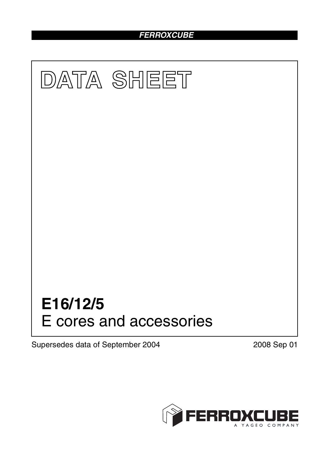## *FERROXCUBE*



Supersedes data of September 2004 2008 Sep 01

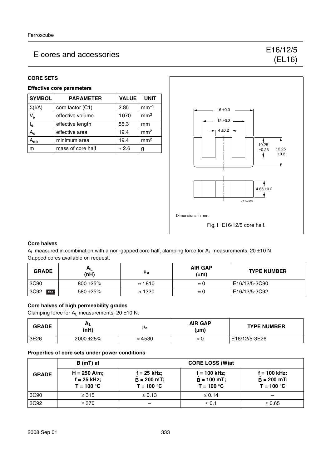# E cores and accessories E16/12/5

#### **CORE SETS**

### **Effective core parameters**

| <b>SYMBOL</b>           | <b>PARAMETER</b>  | <b>VALUE</b>  | <b>UNIT</b>     |
|-------------------------|-------------------|---------------|-----------------|
| $\Sigma(I/A)$           | core factor (C1)  | 2.85          | $mm-1$          |
| $V_{\rm e}$             | effective volume  | 1070          | mm <sup>3</sup> |
| $\mathsf{I}_\mathsf{e}$ | effective length  | 55.3          | mm              |
| $A_{e}$                 | effective area    | 19.4          | mm <sup>2</sup> |
| <b>\</b> min            | minimum area      | 19.4          | mm <sup>2</sup> |
| m                       | mass of core half | $\approx$ 2.6 |                 |



(EL16)

#### **Core halves**

 $A_L$  measured in combination with a non-gapped core half, clamping force for  $A_L$  measurements, 20 ±10 N. Gapped cores available on request.

| <b>GRADE</b> | $A_{L}$<br>(nH) | μ <sub>e</sub> | <b>AIR GAP</b><br>$(\mu m)$ | <b>TYPE NUMBER</b> |
|--------------|-----------------|----------------|-----------------------------|--------------------|
| 3C90         | $800 + 25%$     | $\approx$ 1810 | $\approx$ ()                | E16/12/5-3C90      |
| 3C92<br>des  | 580 ± 25%       | $\approx$ 1320 | ņ                           | E16/12/5-3C92      |

#### **Core halves of high permeability grades**

Clamping force for  $A_L$  measurements, 20  $\pm$ 10 N.

| <b>GRADE</b> | ∼∟<br>(nH)   | μe             | <b>AIR GAP</b><br>(µm) | <b>TYPE NUMBER</b> |
|--------------|--------------|----------------|------------------------|--------------------|
| 3E26         | $2000 + 25%$ | $\approx 4530$ | $\approx$              | E16/12/5-3E26      |

#### **Properties of core sets under power conditions**

|              | B (mT) at                                       | <b>CORE LOSS (W)at</b>                       |                                                 |                                               |
|--------------|-------------------------------------------------|----------------------------------------------|-------------------------------------------------|-----------------------------------------------|
| <b>GRADE</b> | $H = 250$ A/m;<br>$f = 25$ kHz;<br>$T = 100 °C$ | f = 25 kHz;<br>$B = 200$ mT;<br>$T = 100 °C$ | $f = 100$ kHz;<br>$B = 100$ mT;<br>$T = 100 °C$ | f = 100 kHz;<br>$B = 200$ mT;<br>$T = 100 °C$ |
| 3C90         | $\geq$ 315                                      | $\leq 0.13$                                  | $\leq 0.14$                                     |                                               |
| 3C92         | $\geq$ 370                                      |                                              | $\leq 0.1$                                      | $\leq 0.65$                                   |